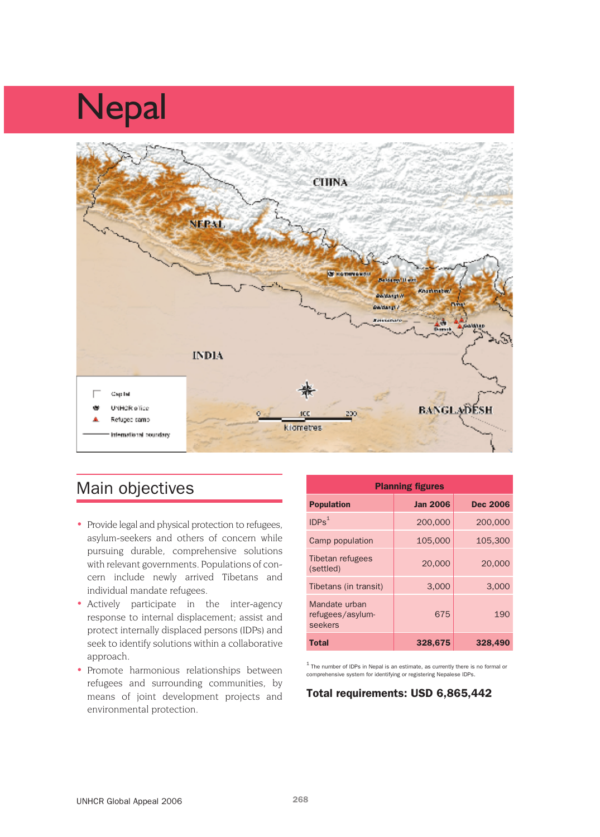# Nepal



# Main objectives

- Provide legal and physical protection to refugees, asylum-seekers and others of concern while pursuing durable, comprehensive solutions with relevant governments. Populations of concern include newly arrived Tibetans and individual mandate refugees.
- Actively participate in the inter-agency response to internal displacement; assist and protect internally displaced persons (IDPs) and seek to identify solutions within a collaborative approach.
- Promote harmonious relationships between refugees and surrounding communities, by means of joint development projects and environmental protection.

| <b>Planning figures</b>                      |                 |                 |  |
|----------------------------------------------|-----------------|-----------------|--|
| <b>Population</b>                            | <b>Jan 2006</b> | <b>Dec 2006</b> |  |
| IDPs <sup>1</sup>                            | 200,000         | 200,000         |  |
| Camp population                              | 105,000         | 105,300         |  |
| Tibetan refugees<br>(settled)                | 20,000          | 20,000          |  |
| Tibetans (in transit)                        | 3,000           | 3,000           |  |
| Mandate urban<br>refugees/asylum-<br>seekers | 675             | 190             |  |
| Total                                        | 328,675         | 328,490         |  |

 $<sup>1</sup>$  The number of IDPs in Nepal is an estimate, as currently there is no formal or</sup> comprehensive system for identifying or registering Nepalese IDPs.

### **Total requirements: USD 6,865,442**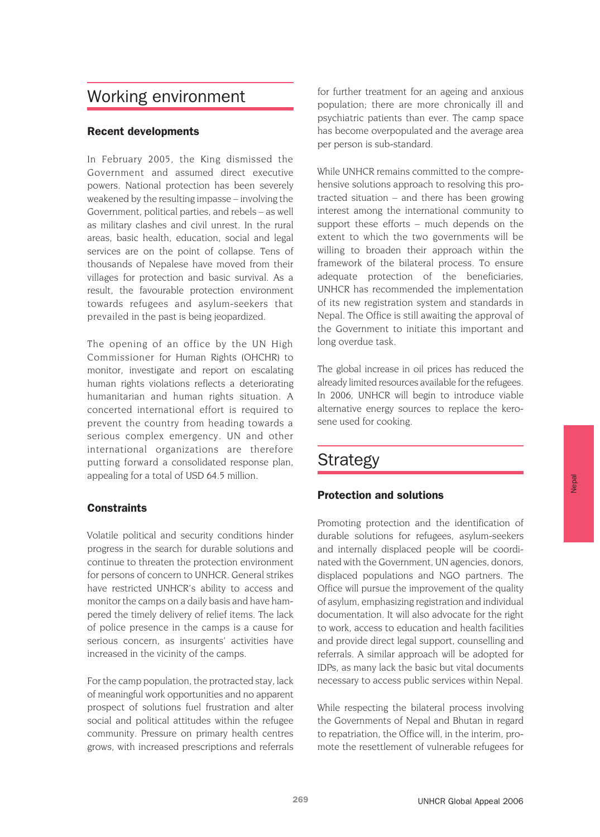# Working environment

### **Recent developments**

In February 2005, the King dismissed the Government and assumed direct executive powers. National protection has been severely weakened by the resulting impasse – involving the Government, political parties, and rebels – as well as military clashes and civil unrest. In the rural areas, basic health, education, social and legal services are on the point of collapse. Tens of thousands of Nepalese have moved from their villages for protection and basic survival. As a result, the favourable protection environment towards refugees and asylum-seekers that prevailed in the past is being jeopardized.

The opening of an office by the UN High Commissioner for Human Rights (OHCHR) to monitor, investigate and report on escalating human rights violations reflects a deteriorating humanitarian and human rights situation. A concerted international effort is required to prevent the country from heading towards a serious complex emergency. UN and other international organizations are therefore putting forward a consolidated response plan, appealing for a total of USD 64.5 million.

### **Constraints**

Volatile political and security conditions hinder progress in the search for durable solutions and continue to threaten the protection environment for persons of concern to UNHCR. General strikes have restricted UNHCR's ability to access and monitor the camps on a daily basis and have hampered the timely delivery of relief items. The lack of police presence in the camps is a cause for serious concern, as insurgents' activities have increased in the vicinity of the camps.

For the camp population, the protracted stay, lack of meaningful work opportunities and no apparent prospect of solutions fuel frustration and alter social and political attitudes within the refugee community. Pressure on primary health centres grows, with increased prescriptions and referrals

for further treatment for an ageing and anxious population; there are more chronically ill and psychiatric patients than ever. The camp space has become overpopulated and the average area per person is sub-standard.

While UNHCR remains committed to the comprehensive solutions approach to resolving this protracted situation – and there has been growing interest among the international community to support these efforts – much depends on the extent to which the two governments will be willing to broaden their approach within the framework of the bilateral process. To ensure adequate protection of the beneficiaries, UNHCR has recommended the implementation of its new registration system and standards in Nepal. The Office is still awaiting the approval of the Government to initiate this important and long overdue task.

The global increase in oil prices has reduced the already limited resources available for the refugees. In 2006, UNHCR will begin to introduce viable alternative energy sources to replace the kerosene used for cooking.

# Strategy

### **Protection and solutions**

Promoting protection and the identification of durable solutions for refugees, asylum-seekers and internally displaced people will be coordinated with the Government, UN agencies, donors, displaced populations and NGO partners. The Office will pursue the improvement of the quality of asylum, emphasizing registration and individual documentation. It will also advocate for the right to work, access to education and health facilities and provide direct legal support, counselling and referrals. A similar approach will be adopted for IDPs, as many lack the basic but vital documents necessary to access public services within Nepal.

While respecting the bilateral process involving the Governments of Nepal and Bhutan in regard to repatriation, the Office will, in the interim, promote the resettlement of vulnerable refugees for Nepal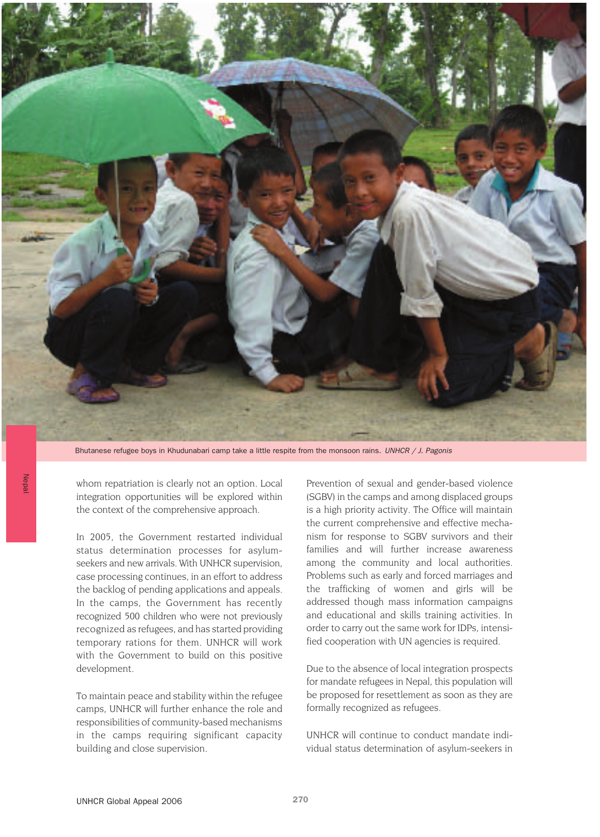

Bhutanese refugee boys in Khudunabari camp take a little respite from the monsoon rains. *UNHCR / J. Pagonis*

whom repatriation is clearly not an option. Local integration opportunities will be explored within the context of the comprehensive approach.

In 2005, the Government restarted individual status determination processes for asylumseekers and new arrivals. With UNHCR supervision, case processing continues, in an effort to address the backlog of pending applications and appeals. In the camps, the Government has recently recognized 500 children who were not previously recognized as refugees, and has started providing temporary rations for them. UNHCR will work with the Government to build on this positive development.

To maintain peace and stability within the refugee camps, UNHCR will further enhance the role and responsibilities of community-based mechanisms in the camps requiring significant capacity building and close supervision.

Prevention of sexual and gender-based violence (SGBV) in the camps and among displaced groups is a high priority activity. The Office will maintain the current comprehensive and effective mechanism for response to SGBV survivors and their families and will further increase awareness among the community and local authorities. Problems such as early and forced marriages and the trafficking of women and girls will be addressed though mass information campaigns and educational and skills training activities. In order to carry out the same work for IDPs, intensified cooperation with UN agencies is required.

Due to the absence of local integration prospects for mandate refugees in Nepal, this population will be proposed for resettlement as soon as they are formally recognized as refugees.

UNHCR will continue to conduct mandate individual status determination of asylum-seekers in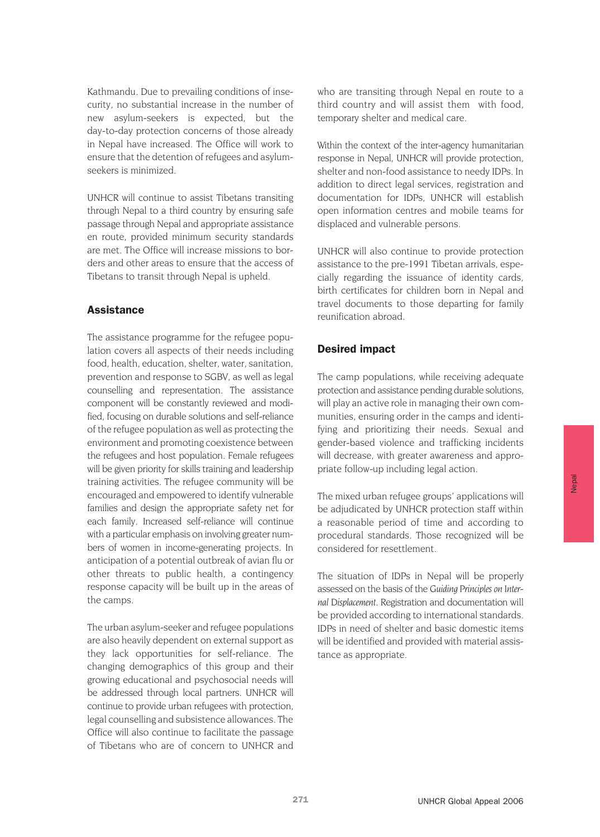Kathmandu. Due to prevailing conditions of insecurity, no substantial increase in the number of new asylum-seekers is expected, but the day-to-day protection concerns of those already in Nepal have increased. The Office will work to ensure that the detention of refugees and asylumseekers is minimized.

UNHCR will continue to assist Tibetans transiting through Nepal to a third country by ensuring safe passage through Nepal and appropriate assistance en route, provided minimum security standards are met. The Office will increase missions to borders and other areas to ensure that the access of Tibetans to transit through Nepal is upheld.

## **Assistance**

The assistance programme for the refugee population covers all aspects of their needs including food, health, education, shelter, water, sanitation, prevention and response to SGBV, as well as legal counselling and representation. The assistance component will be constantly reviewed and modified, focusing on durable solutions and self-reliance of the refugee population as well as protecting the environment and promoting coexistence between the refugees and host population. Female refugees will be given priority for skills training and leadership training activities. The refugee community will be encouraged and empowered to identify vulnerable families and design the appropriate safety net for each family. Increased self-reliance will continue with a particular emphasis on involving greater numbers of women in income-generating projects. In anticipation of a potential outbreak of avian flu or other threats to public health, a contingency response capacity will be built up in the areas of the camps.

The urban asylum-seeker and refugee populations are also heavily dependent on external support as they lack opportunities for self-reliance. The changing demographics of this group and their growing educational and psychosocial needs will be addressed through local partners. UNHCR will continue to provide urban refugees with protection, legal counselling and subsistence allowances. The Office will also continue to facilitate the passage of Tibetans who are of concern to UNHCR and

who are transiting through Nepal en route to a third country and will assist them with food, temporary shelter and medical care.

Within the context of the inter-agency humanitarian response in Nepal, UNHCR will provide protection, shelter and non-food assistance to needy IDPs. In addition to direct legal services, registration and documentation for IDPs, UNHCR will establish open information centres and mobile teams for displaced and vulnerable persons.

UNHCR will also continue to provide protection assistance to the pre-1991 Tibetan arrivals, especially regarding the issuance of identity cards, birth certificates for children born in Nepal and travel documents to those departing for family reunification abroad.

# **Desired impact**

The camp populations, while receiving adequate protection and assistance pending durable solutions, will play an active role in managing their own communities, ensuring order in the camps and identifying and prioritizing their needs. Sexual and gender-based violence and trafficking incidents will decrease, with greater awareness and appropriate follow-up including legal action.

The mixed urban refugee groups' applications will be adjudicated by UNHCR protection staff within a reasonable period of time and according to procedural standards. Those recognized will be considered for resettlement.

The situation of IDPs in Nepal will be properly assessed on the basis of the *Guiding Principles on Internal Displacement*. Registration and documentation will be provided according to international standards. IDPs in need of shelter and basic domestic items will be identified and provided with material assistance as appropriate.